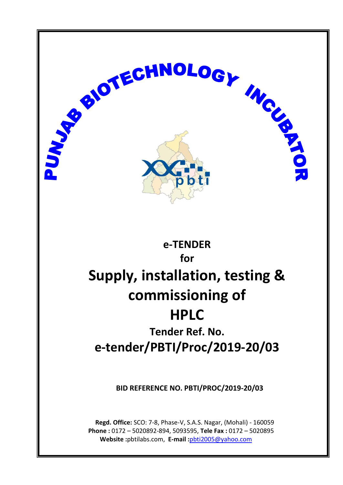

**Regd. Office:** SCO: 7-8, Phase-V, S.A.S. Nagar, (Mohali) - 160059 **Phone :** 0172 – 5020892-894, 5093595, **Tele Fax :** 0172 – 5020895 **Website :**pbtilabs.com, **E-mail :**[pbti2005@yahoo.com](mailto:pbti2005@yahoo.com)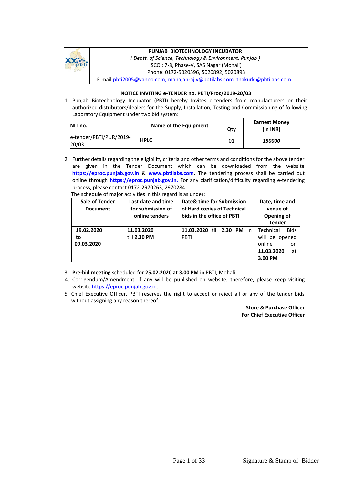

#### **PUNJAB BIOTECHNOLOGY INCUBATOR**

*( Deptt. of Science, Technology & Environment, Punjab )* SCO : 7-8, Phase-V, SAS Nagar (Mohali) Phone: 0172-5020596, 5020892, 5020893

E-mail[:pbti2005@yahoo.com;](mailto:pbti2005@yahoo.com;) [mahajanrajiv@pbtilabs.com; thakurkl@pbtilabs.com](mailto:mahajanrajiv@pbtilabs.com;%20thakurkl@pbtilabs.com)

#### **NOTICE INVITING e-TENDER no. PBTI/Proc/2019-20/03**

1. Punjab Biotechnology Incubator (PBTI) hereby Invites e-tenders from manufacturers or their authorized distributors/dealers for the Supply, Installation, Testing and Commissioning of following Laboratory Equipment under two bid system:

| NIT no.                          | Name of the Equipment | Qty | <b>Earnest Money</b><br>(in INR) |
|----------------------------------|-----------------------|-----|----------------------------------|
| e-tender/PBTI/PUR/2019-<br>20/03 | <b>HPLC</b>           | 01  | <i><b>150000</b></i>             |

2. Further details regarding the eligibility criteria and other terms and conditions for the above tender are given in the Tender Document which can be downloaded from the website **[https://eproc.punjab.gov.in](https://eproc.punjab.gov.in/)** & **[www.pbtilabs.com.](http://www.pbtilabs.com/)** The tendering process shall be carried out online through **https://eproc.punjab.gov.in.** For any clarification/difficulty regarding e-tendering process, please contact 0172-2970263, 2970284.

| The schedule of major activities in this regard is as under: |
|--------------------------------------------------------------|
|                                                              |

| <b>Sale of Tender</b><br><b>Document</b> | Last date and time<br>for submission of<br>online tenders | Date& time for Submission<br>of Hard copies of Technical<br>bids in the office of PBTI | Date, time and<br>venue of<br>Opening of<br><b>Tender</b>                                 |
|------------------------------------------|-----------------------------------------------------------|----------------------------------------------------------------------------------------|-------------------------------------------------------------------------------------------|
| 19.02.2020<br>to<br>09.03.2020           | 11.03.2020<br>till 2.30 PM                                | 11.03.2020<br>till $2.30$ PM in<br><b>PBTI</b>                                         | Technical<br><b>Bids</b><br>will be opened<br>online<br>on<br>11.03.2020<br>at<br>3.00 PM |

- 3. **Pre-bid meeting** scheduled for **25.02.2020 at 3.00 PM** in PBTI, Mohali.
- 4. Corrigendum/Amendment, if any will be published on website, therefore, please keep visiting website [https://eproc.punjab.gov.in.](https://eproc.punjab.gov.in/)
- 5. Chief Executive Officer, PBTI reserves the right to accept or reject all or any of the tender bids without assigning any reason thereof.

**Store & Purchase Officer For Chief Executive Officer**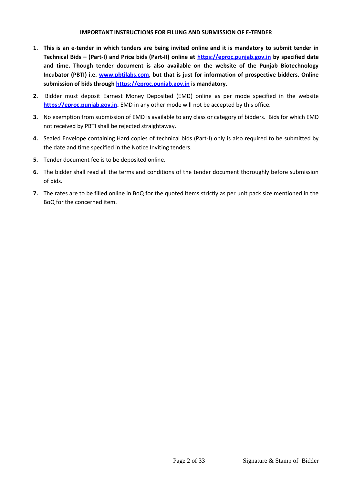#### **IMPORTANT INSTRUCTIONS FOR FILLING AND SUBMISSION OF E-TENDER**

- **1. This is an e-tender in which tenders are being invited online and it is mandatory to submit tender in Technical Bids – (Part-I) and Price bids (Part-II) online at [https://eproc.punjab.gov.in](https://eproc.punjab.gov.in/) by specified date and time. Though tender document is also available on the website of the Punjab Biotechnology Incubator (PBTI) i.e. [www.pbtilabs.com,](http://www.pbtilabs.com/) but that is just for information of prospective bidders. Online submission of bids throug[h https://eproc.punjab.gov.in](https://eproc.punjab.gov.in/) is mandatory.**
- **2.** Bidder must deposit Earnest Money Deposited (EMD) online as per mode specified in the website **[https://eproc.punjab.gov.in.](https://eproc.punjab.gov.in/)** EMD in any other mode will not be accepted by this office.
- **3.** No exemption from submission of EMD is available to any class or category of bidders. Bids for which EMD not received by PBTI shall be rejected straightaway.
- **4.** Sealed Envelope containing Hard copies of technical bids (Part-I) only is also required to be submitted by the date and time specified in the Notice Inviting tenders.
- **5.** Tender document fee is to be deposited online.
- **6.** The bidder shall read all the terms and conditions of the tender document thoroughly before submission of bids.
- **7.** The rates are to be filled online in BoQ for the quoted items strictly as per unit pack size mentioned in the BoQ for the concerned item.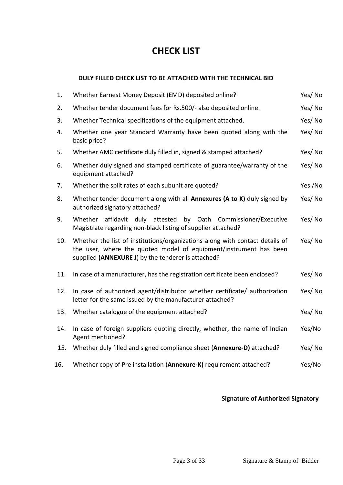# **CHECK LIST**

# **DULY FILLED CHECK LIST TO BE ATTACHED WITH THE TECHNICAL BID**

| 1.  | Whether Earnest Money Deposit (EMD) deposited online?                                                                                                                                                   | Yes/No  |
|-----|---------------------------------------------------------------------------------------------------------------------------------------------------------------------------------------------------------|---------|
| 2.  | Whether tender document fees for Rs.500/- also deposited online.                                                                                                                                        | Yes/No  |
| 3.  | Whether Technical specifications of the equipment attached.                                                                                                                                             | Yes/No  |
| 4.  | Whether one year Standard Warranty have been quoted along with the<br>basic price?                                                                                                                      | Yes/No  |
| 5.  | Whether AMC certificate duly filled in, signed & stamped attached?                                                                                                                                      | Yes/No  |
| 6.  | Whether duly signed and stamped certificate of guarantee/warranty of the<br>equipment attached?                                                                                                         | Yes/No  |
| 7.  | Whether the split rates of each subunit are quoted?                                                                                                                                                     | Yes /No |
| 8.  | Whether tender document along with all Annexures (A to K) duly signed by<br>authorized signatory attached?                                                                                              | Yes/No  |
| 9.  | Whether<br>affidavit duly attested<br>by Oath Commissioner/Executive<br>Magistrate regarding non-black listing of supplier attached?                                                                    | Yes/No  |
| 10. | Whether the list of institutions/organizations along with contact details of<br>the user, where the quoted model of equipment/instrument has been<br>supplied (ANNEXURE J) by the tenderer is attached? | Yes/No  |
| 11. | In case of a manufacturer, has the registration certificate been enclosed?                                                                                                                              | Yes/No  |
| 12. | In case of authorized agent/distributor whether certificate/ authorization<br>letter for the same issued by the manufacturer attached?                                                                  | Yes/No  |
| 13. | Whether catalogue of the equipment attached?                                                                                                                                                            | Yes/No  |
| 14. | In case of foreign suppliers quoting directly, whether, the name of Indian<br>Agent mentioned?                                                                                                          | Yes/No  |
| 15. | Whether duly filled and signed compliance sheet (Annexure-D) attached?                                                                                                                                  | Yes/No  |
| 16. | Whether copy of Pre installation (Annexure-K) requirement attached?                                                                                                                                     | Yes/No  |

# **Signature of Authorized Signatory**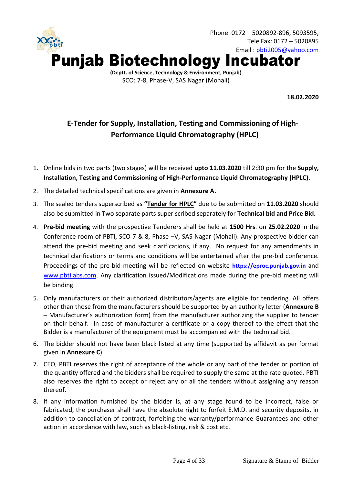

**18.02.2020**

# **E-Tender for Supply, Installation, Testing and Commissioning of High-Performance Liquid Chromatography (HPLC)**

- 1. Online bids in two parts (two stages) will be received **upto 11.03.2020** till 2:30 pm for the **Supply, Installation, Testing and Commissioning of High-Performance Liquid Chromatography (HPLC).**
- 2. The detailed technical specifications are given in **Annexure A.**
- 3. The sealed tenders superscribed as **"Tender for HPLC"** due to be submitted on **11.03.2020** should also be submitted in Two separate parts super scribed separately for **Technical bid and Price Bid.**
- 4. **Pre-bid meeting** with the prospective Tenderers shall be held at **1500 Hrs**. on **25.02.2020** in the Conference room of PBTI, SCO 7 & 8, Phase –V, SAS Nagar (Mohali). Any prospective bidder can attend the pre-bid meeting and seek clarifications, if any. No request for any amendments in technical clarifications or terms and conditions will be entertained after the pre-bid conference. Proceedings of the pre-bid meeting will be reflected on website **[https://eproc.punjab.gov.in](https://eproc.punjab.gov.in/)** and [www.pbtilabs.com](http://www.pbtilabs.com/). Any clarification issued/Modifications made during the pre-bid meeting will be binding.
- 5. Only manufacturers or their authorized distributors/agents are eligible for tendering. All offers other than those from the manufacturers should be supported by an authority letter (**Annexure B** – Manufacturer's authorization form) from the manufacturer authorizing the supplier to tender on their behalf. In case of manufacturer a certificate or a copy thereof to the effect that the Bidder is a manufacturer of the equipment must be accompanied with the technical bid.
- 6. The bidder should not have been black listed at any time (supported by affidavit as per format given in **Annexure C**).
- 7. CEO, PBTI reserves the right of acceptance of the whole or any part of the tender or portion of the quantity offered and the bidders shall be required to supply the same at the rate quoted. PBTI also reserves the right to accept or reject any or all the tenders without assigning any reason thereof.
- 8. If any information furnished by the bidder is, at any stage found to be incorrect, false or fabricated, the purchaser shall have the absolute right to forfeit E.M.D. and security deposits, in addition to cancellation of contract, forfeiting the warranty/performance Guarantees and other action in accordance with law, such as black-listing, risk & cost etc.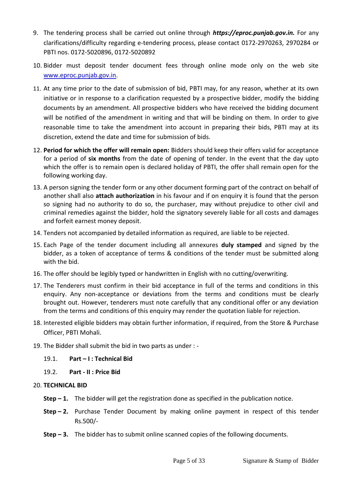- 9. The tendering process shall be carried out online through *https://eproc.punjab.gov.in.* For any clarifications/difficulty regarding e-tendering process, please contact 0172-2970263, 2970284 or PBTI nos. 0172-5020896, 0172-5020892
- 10. Bidder must deposit tender document fees through online mode only on the web site [www.eproc.punjab.gov.in.](http://www.eproc.punjab.gov.in/)
- 11. At any time prior to the date of submission of bid, PBTI may, for any reason, whether at its own initiative or in response to a clarification requested by a prospective bidder, modify the bidding documents by an amendment. All prospective bidders who have received the bidding document will be notified of the amendment in writing and that will be binding on them. In order to give reasonable time to take the amendment into account in preparing their bids, PBTI may at its discretion, extend the date and time for submission of bids.
- 12. **Period for which the offer will remain open:** Bidders should keep their offers valid for acceptance for a period of **six months** from the date of opening of tender. In the event that the day upto which the offer is to remain open is declared holiday of PBTI, the offer shall remain open for the following working day.
- 13. A person signing the tender form or any other document forming part of the contract on behalf of another shall also **attach authorization** in his favour and if on enquiry it is found that the person so signing had no authority to do so, the purchaser, may without prejudice to other civil and criminal remedies against the bidder, hold the signatory severely liable for all costs and damages and forfeit earnest money deposit.
- 14. Tenders not accompanied by detailed information as required, are liable to be rejected.
- 15. Each Page of the tender document including all annexures **duly stamped** and signed by the bidder, as a token of acceptance of terms & conditions of the tender must be submitted along with the bid.
- 16. The offer should be legibly typed or handwritten in English with no cutting/overwriting.
- 17. The Tenderers must confirm in their bid acceptance in full of the terms and conditions in this enquiry. Any non-acceptance or deviations from the terms and conditions must be clearly brought out. However, tenderers must note carefully that any conditional offer or any deviation from the terms and conditions of this enquiry may render the quotation liable for rejection.
- 18. Interested eligible bidders may obtain further information, if required, from the Store & Purchase Officer, PBTI Mohali.
- 19. The Bidder shall submit the bid in two parts as under :
	- 19.1. **Part – I : Technical Bid**
	- 19.2. **Part - II : Price Bid**
- 20. **TECHNICAL BID** 
	- **Step – 1.** The bidder will get the registration done as specified in the publication notice.
	- **Step – 2.** Purchase Tender Document by making online payment in respect of this tender Rs.500/-
	- **Step – 3.** The bidder has to submit online scanned copies of the following documents.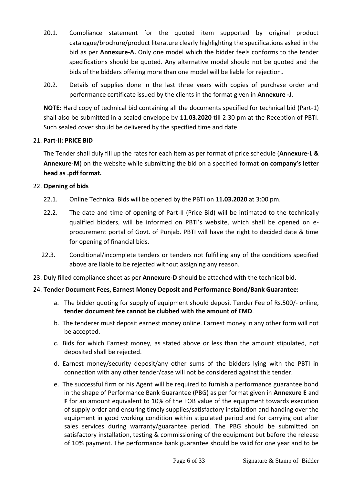- 20.1. Compliance statement for the quoted item supported by original product catalogue/brochure/product literature clearly highlighting the specifications asked in the bid as per **Annexure-A.** Only one model which the bidder feels conforms to the tender specifications should be quoted. Any alternative model should not be quoted and the bids of the bidders offering more than one model will be liable for rejection**.**
- 20.2. Details of supplies done in the last three years with copies of purchase order and performance certificate issued by the clients in the format given in **Annexure -J**.

**NOTE:** Hard copy of technical bid containing all the documents specified for technical bid (Part-1) shall also be submitted in a sealed envelope by **11.03.2020** till 2:30 pm at the Reception of PBTI. Such sealed cover should be delivered by the specified time and date.

# 21. **Part-II: PRICE BID**

The Tender shall duly fill up the rates for each item as per format of price schedule (**Annexure-L & Annexure-M**) on the website while submitting the bid on a specified format **on company's letter head as .pdf format.**

# 22. **Opening of bids**

- 22.1. Online Technical Bids will be opened by the PBTI on **11.03.2020** at 3:00 pm.
- 22.2. The date and time of opening of Part-II (Price Bid) will be intimated to the technically qualified bidders, will be informed on PBTI's website, which shall be opened on eprocurement portal of Govt. of Punjab. PBTI will have the right to decided date & time for opening of financial bids.
- 22.3. Conditional/incomplete tenders or tenders not fulfilling any of the conditions specified above are liable to be rejected without assigning any reason.
- 23. Duly filled compliance sheet as per **Annexure-D** should be attached with the technical bid.

# 24. **Tender Document Fees, Earnest Money Deposit and Performance Bond/Bank Guarantee:**

- a. The bidder quoting for supply of equipment should deposit Tender Fee of Rs.500/- online, **tender document fee cannot be clubbed with the amount of EMD**.
- b. The tenderer must deposit earnest money online. Earnest money in any other form will not be accepted.
- c. Bids for which Earnest money, as stated above or less than the amount stipulated, not deposited shall be rejected.
- d. Earnest money/security deposit/any other sums of the bidders lying with the PBTI in connection with any other tender/case will not be considered against this tender.
- e. The successful firm or his Agent will be required to furnish a performance guarantee bond in the shape of Performance Bank Guarantee (PBG) as per format given in **Annexure E** and **F** for an amount equivalent to 10% of the FOB value of the equipment towards execution of supply order and ensuring timely supplies/satisfactory installation and handing over the equipment in good working condition within stipulated period and for carrying out after sales services during warranty/guarantee period. The PBG should be submitted on satisfactory installation, testing & commissioning of the equipment but before the release of 10% payment. The performance bank guarantee should be valid for one year and to be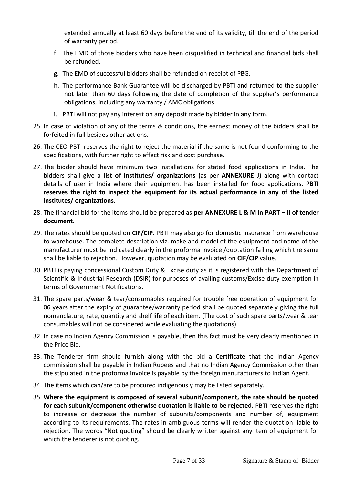extended annually at least 60 days before the end of its validity, till the end of the period of warranty period.

- f. The EMD of those bidders who have been disqualified in technical and financial bids shall be refunded.
- g. The EMD of successful bidders shall be refunded on receipt of PBG.
- h. The performance Bank Guarantee will be discharged by PBTI and returned to the supplier not later than 60 days following the date of completion of the supplier's performance obligations, including any warranty / AMC obligations.
- i. PBTI will not pay any interest on any deposit made by bidder in any form.
- 25. In case of violation of any of the terms & conditions, the earnest money of the bidders shall be forfeited in full besides other actions.
- 26. The CEO-PBTI reserves the right to reject the material if the same is not found conforming to the specifications, with further right to effect risk and cost purchase.
- 27. The bidder should have minimum two installations for stated food applications in India. The bidders shall give a **list of Institutes/ organizations (**as per **ANNEXURE J)** along with contact details of user in India where their equipment has been installed for food applications. **PBTI reserves the right to inspect the equipment for its actual performance in any of the listed institutes/ organizations**.
- 28. The financial bid for the items should be prepared as **per ANNEXURE L & M in PART – II of tender document.**
- 29. The rates should be quoted on **CIF/CIP**. PBTI may also go for domestic insurance from warehouse to warehouse. The complete description viz. make and model of the equipment and name of the manufacturer must be indicated clearly in the proforma invoice /quotation failing which the same shall be liable to rejection. However, quotation may be evaluated on **CIF/CIP** value.
- 30. PBTI is paying concessional Custom Duty & Excise duty as it is registered with the Department of Scientific & Industrial Research (DSIR) for purposes of availing customs/Excise duty exemption in terms of Government Notifications.
- 31. The spare parts/wear & tear/consumables required for trouble free operation of equipment for 06 years after the expiry of guarantee/warranty period shall be quoted separately giving the full nomenclature, rate, quantity and shelf life of each item. (The cost of such spare parts/wear & tear consumables will not be considered while evaluating the quotations).
- 32. In case no Indian Agency Commission is payable, then this fact must be very clearly mentioned in the Price Bid.
- 33. The Tenderer firm should furnish along with the bid a **Certificate** that the Indian Agency commission shall be payable in Indian Rupees and that no Indian Agency Commission other than the stipulated in the proforma invoice is payable by the foreign manufacturers to Indian Agent.
- 34. The items which can/are to be procured indigenously may be listed separately.
- 35. **Where the equipment is composed of several subunit/component, the rate should be quoted for each subunit/component otherwise quotation is liable to be rejected.** PBTI reserves the right to increase or decrease the number of subunits/components and number of, equipment according to its requirements. The rates in ambiguous terms will render the quotation liable to rejection. The words "Not quoting" should be clearly written against any item of equipment for which the tenderer is not quoting.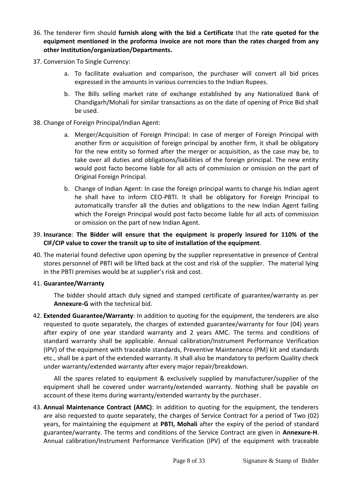- 36. The tenderer firm should **furnish along with the bid a Certificate** that the **rate quoted for the equipment mentioned in the proforma invoice are not more than the rates charged from any other Institution/organization/Departments.**
- 37. Conversion To Single Currency:
	- a. To facilitate evaluation and comparison, the purchaser will convert all bid prices expressed in the amounts in various currencies to the Indian Rupees.
	- b. The Bills selling market rate of exchange established by any Nationalized Bank of Chandigarh/Mohali for similar transactions as on the date of opening of Price Bid shall be used.
- 38. Change of Foreign Principal/Indian Agent:
	- a. Merger/Acquisition of Foreign Principal: In case of merger of Foreign Principal with another firm or acquisition of foreign principal by another firm, it shall be obligatory for the new entity so formed after the merger or acquisition, as the case may be, to take over all duties and obligations/liabilities of the foreign principal. The new entity would post facto become liable for all acts of commission or omission on the part of Original Foreign Principal.
	- b. Change of Indian Agent: In case the foreign principal wants to change his Indian agent he shall have to inform CEO-PBTI. It shall be obligatory for Foreign Principal to automatically transfer all the duties and obligations to the new Indian Agent failing which the Foreign Principal would post facto become liable for all acts of commission or omission on the part of new Indian Agent.

# 39. **Insurance**: **The Bidder will ensure that the equipment is properly insured for 110% of the CIF/CIP value to cover the transit up to site of installation of the equipment**.

40. The material found defective upon opening by the supplier representative in presence of Central stores personnel of PBTI will be lifted back at the cost and risk of the supplier. The material lying in the PBTI premises would be at supplier's risk and cost.

#### 41. **Guarantee/Warranty**

The bidder should attach duly signed and stamped certificate of guarantee/warranty as per **Annexure-G** with the technical bid.

42. **Extended Guarantee/Warranty**: In addition to quoting for the equipment, the tenderers are also requested to quote separately, the charges of extended guarantee/warranty for four (04) years after expiry of one year standard warranty and 2 years AMC. The terms and conditions of standard warranty shall be applicable. Annual calibration/Instrument Performance Verification (IPV) of the equipment with traceable standards, Preventive Maintenance (PM) kit and standards etc., shall be a part of the extended warranty. It shall also be mandatory to perform Quality check under warranty/extended warranty after every major repair/breakdown.

All the spares related to equipment & exclusively supplied by manufacturer/supplier of the equipment shall be covered under warranty/extended warranty. Nothing shall be payable on account of these items during warranty/extended warranty by the purchaser.

43. **Annual Maintenance Contract (AMC)**: In addition to quoting for the equipment, the tenderers are also requested to quote separately, the charges of Service Contract for a period of Two (02) years, for maintaining the equipment at **PBTI, Mohali** after the expiry of the period of standard guarantee/warranty. The terms and conditions of the Service Contract are given in **Annexure-H**. Annual calibration/Instrument Performance Verification (IPV) of the equipment with traceable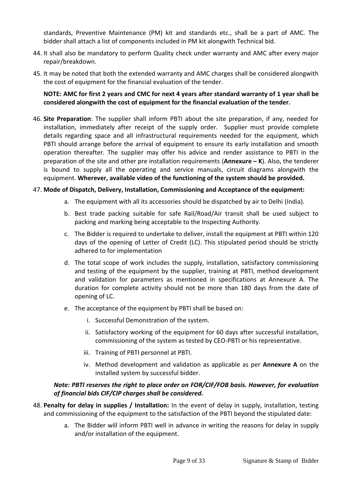standards, Preventive Maintenance (PM) kit and standards etc., shall be a part of AMC. The bidder shall attach a list of components included in PM kit alongwith Technical bid.

- 44. It shall also be mandatory to perform Quality check under warranty and AMC after every major repair/breakdown.
- 45. It may be noted that both the extended warranty and AMC charges shall be considered alongwith the cost of equipment for the financial evaluation of the tender.

# **NOTE: AMC for first 2 years and CMC for next 4 years after standard warranty of 1 year shall be considered alongwith the cost of equipment for the financial evaluation of the tender.**

46. **Site Preparation**: The supplier shall inform PBTI about the site preparation, if any, needed for installation, immediately after receipt of the supply order. Supplier must provide complete details regarding space and all infrastructural requirements needed for the equipment, which PBTI should arrange before the arrival of equipment to ensure its early installation and smooth operation thereafter. The supplier may offer his advice and render assistance to PBTI in the preparation of the site and other pre installation requirements (**Annexure – K**). Also, the tenderer is bound to supply all the operating and service manuals, circuit diagrams alongwith the equipment. **Wherever, available video of the functioning of the system should be provided.** 

# 47. **Mode of Dispatch, Delivery, Installation, Commissioning and Acceptance of the equipment:**

- a. The equipment with all its accessories should be dispatched by air to Delhi (India).
- b. Best trade packing suitable for safe Rail/Road/Air transit shall be used subject to packing and marking being acceptable to the Inspecting Authority.
- c. The Bidder is required to undertake to deliver, install the equipment at PBTI within 120 days of the opening of Letter of Credit (LC). This stipulated period should be strictly adhered to for implementation
- d. The total scope of work includes the supply, installation, satisfactory commissioning and testing of the equipment by the supplier, training at PBTI, method development and validation for parameters as mentioned in specifications at Annexure A. The duration for complete activity should not be more than 180 days from the date of opening of LC.
- e. The acceptance of the equipment by PBTI shall be based on:
	- i. Successful Demonstration of the system.
	- ii. Satisfactory working of the equipment for 60 days after successful installation, commissioning of the system as tested by CEO-PBTI or his representative.
	- iii. Training of PBTI personnel at PBTI.
	- iv. Method development and validation as applicable as per **Annexure A** on the installed system by successful bidder.

# *Note: PBTI reserves the right to place order on FOR/CIF/FOB basis. However, for evaluation of financial bids CIF/CIP charges shall be considered.*

- 48. **Penalty for delay in supplies / Installation:** In the event of delay in supply, installation, testing and commissioning of the equipment to the satisfaction of the PBTI beyond the stipulated date:
	- a. The Bidder will inform PBTI well in advance in writing the reasons for delay in supply and/or installation of the equipment.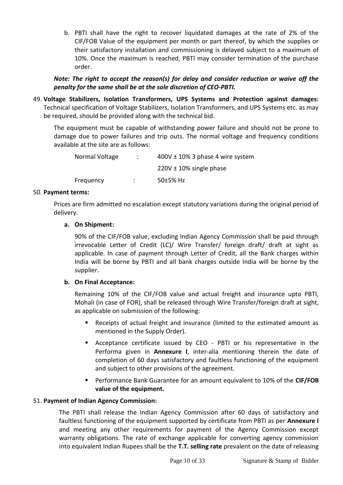b. PBTI shall have the right to recover liquidated damages at the rate of 2% of the CIF/FOB Value of the equipment per month or part thereof, by which the supplies or their satisfactory installation and commissioning is delayed subject to a maximum of 10%. Once the maximum is reached, PBTI may consider termination of the purchase order.

# *Note: The right to accept the reason(s) for delay and consider reduction or waive off the penalty for the same shall be at the sole discretion of CEO-PBTI.*

49. **Voltage Stabilizers, Isolation Transformers, UPS Systems and Protection against damages:** Technical specification of Voltage Stabilizers, Isolation Transformers, and UPS Systems etc. as may be required, should be provided along with the technical bid.

The equipment must be capable of withstanding power failure and should not be prone to damage due to power failures and trip outs. The normal voltage and frequency conditions available at the site are as follows:

| Normal Voltage | $400V \pm 10\%$ 3 phase 4 wire system |
|----------------|---------------------------------------|
|                | $220V \pm 10\%$ single phase          |
| Frequency      | 50 $±5%$ Hz                           |

# 50. **Payment terms:**

Prices are firm admitted no escalation except statutory variations during the original period of delivery.

# **a. On Shipment:**

90% of the CIF/FOB value, excluding Indian Agency Commission shall be paid through irrevocable Letter of Credit (LC)/ Wire Transfer/ foreign draft/ draft at sight as applicable. In case of payment through Letter of Credit, all the Bank charges within India will be borne by PBTI and all bank charges outside India will be borne by the supplier.

# **b. On Final Acceptance:**

Remaining 10% of the CIF/FOB value and actual freight and insurance upto PBTI, Mohali (in case of FOR), shall be released through Wire Transfer/foreign draft at sight, as applicable on submission of the following:

- Receipts of actual freight and insurance (limited to the estimated amount as mentioned in the Supply Order).
- Acceptance certificate issued by CEO PBTI or his representative in the Performa given in **Annexure I**, inter-alia mentioning therein the date of completion of 60 days satisfactory and faultless functioning of the equipment and subject to other provisions of the agreement.
- Performance Bank Guarantee for an amount equivalent to 10% of the **CIF/FOB value of the equipment.**

# 51. **Payment of Indian Agency Commission:**

The PBTI shall release the Indian Agency Commission after 60 days of satisfactory and faultless functioning of the equipment supported by certificate from PBTI as per **Annexure I** and meeting any other requirements for payment of the Agency Commission except warranty obligations. The rate of exchange applicable for converting agency commission into equivalent Indian Rupees shall be the **T.T. selling rate** prevalent on the date of releasing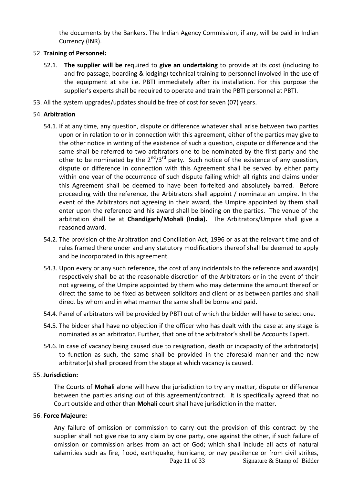the documents by the Bankers. The Indian Agency Commission, if any, will be paid in Indian Currency (INR).

# 52. **Training of Personnel:**

- 52.1. **The supplier will be r**equired to **give an undertaking** to provide at its cost (including to and fro passage, boarding & lodging) technical training to personnel involved in the use of the equipment at site i.e. PBTI immediately after its installation. For this purpose the supplier's experts shall be required to operate and train the PBTI personnel at PBTI.
- 53. All the system upgrades/updates should be free of cost for seven (07) years.

# 54. **Arbitration**

- 54.1. If at any time, any question, dispute or difference whatever shall arise between two parties upon or in relation to or in connection with this agreement, either of the parties may give to the other notice in writing of the existence of such a question, dispute or difference and the same shall be referred to two arbitrators one to be nominated by the first party and the other to be nominated by the  $2^{nd}/3^{rd}$  party. Such notice of the existence of any question, dispute or difference in connection with this Agreement shall be served by either party within one year of the occurrence of such dispute failing which all rights and claims under this Agreement shall be deemed to have been forfeited and absolutely barred. Before proceeding with the reference, the Arbitrators shall appoint / nominate an umpire. In the event of the Arbitrators not agreeing in their award, the Umpire appointed by them shall enter upon the reference and his award shall be binding on the parties. The venue of the arbitration shall be at **Chandigarh/Mohali (India).** The Arbitrators/Umpire shall give a reasoned award.
- 54.2. The provision of the Arbitration and Conciliation Act, 1996 or as at the relevant time and of rules framed there under and any statutory modifications thereof shall be deemed to apply and be incorporated in this agreement.
- 54.3. Upon every or any such reference, the cost of any incidentals to the reference and award(s) respectively shall be at the reasonable discretion of the Arbitrators or in the event of their not agreeing, of the Umpire appointed by them who may determine the amount thereof or direct the same to be fixed as between solicitors and client or as between parties and shall direct by whom and in what manner the same shall be borne and paid.
- 54.4. Panel of arbitrators will be provided by PBTI out of which the bidder will have to select one.
- 54.5. The bidder shall have no objection if the officer who has dealt with the case at any stage is nominated as an arbitrator. Further, that one of the arbitrator's shall be Accounts Expert.
- 54.6. In case of vacancy being caused due to resignation, death or incapacity of the arbitrator(s) to function as such, the same shall be provided in the aforesaid manner and the new arbitrator(s) shall proceed from the stage at which vacancy is caused.

#### 55. **Jurisdiction:**

The Courts of **Mohali** alone will have the jurisdiction to try any matter, dispute or difference between the parties arising out of this agreement/contract. It is specifically agreed that no Court outside and other than **Mohali** court shall have jurisdiction in the matter.

# 56. **Force Majeure:**

Any failure of omission or commission to carry out the provision of this contract by the supplier shall not give rise to any claim by one party, one against the other, if such failure of omission or commission arises from an act of God; which shall include all acts of natural calamities such as fire, flood, earthquake, hurricane, or nay pestilence or from civil strikes,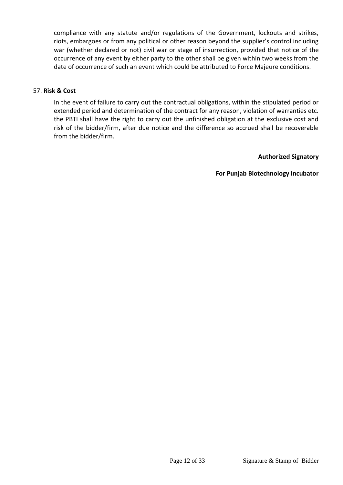compliance with any statute and/or regulations of the Government, lockouts and strikes, riots, embargoes or from any political or other reason beyond the supplier's control including war (whether declared or not) civil war or stage of insurrection, provided that notice of the occurrence of any event by either party to the other shall be given within two weeks from the date of occurrence of such an event which could be attributed to Force Majeure conditions.

## 57. **Risk & Cost**

In the event of failure to carry out the contractual obligations, within the stipulated period or extended period and determination of the contract for any reason, violation of warranties etc. the PBTI shall have the right to carry out the unfinished obligation at the exclusive cost and risk of the bidder/firm, after due notice and the difference so accrued shall be recoverable from the bidder/firm.

#### **Authorized Signatory**

**For Punjab Biotechnology Incubator**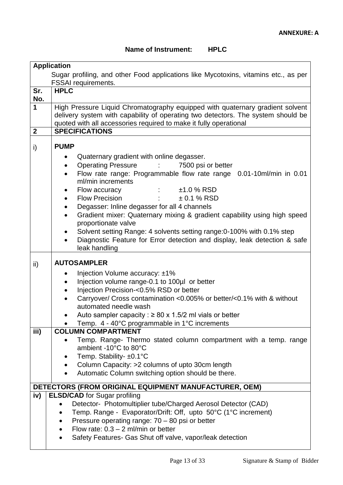# **Name of Instrument: HPLC**

|              | <b>Application</b>                                                                                                                                    |
|--------------|-------------------------------------------------------------------------------------------------------------------------------------------------------|
|              | Sugar profiling, and other Food applications like Mycotoxins, vitamins etc., as per                                                                   |
|              | <b>FSSAI</b> requirements.                                                                                                                            |
| Sr.          | <b>HPLC</b>                                                                                                                                           |
| No.          |                                                                                                                                                       |
| 1            | High Pressure Liquid Chromatography equipped with quaternary gradient solvent                                                                         |
|              | delivery system with capability of operating two detectors. The system should be<br>quoted with all accessories required to make it fully operational |
| $\mathbf{2}$ | <b>SPECIFICATIONS</b>                                                                                                                                 |
|              |                                                                                                                                                       |
| i)           | <b>PUMP</b>                                                                                                                                           |
|              | Quaternary gradient with online degasser.                                                                                                             |
|              | <b>Operating Pressure</b><br>7500 psi or better<br>$\bullet$                                                                                          |
|              | Flow rate range: Programmable flow rate range 0.01-10ml/min in 0.01                                                                                   |
|              | ml/min increments                                                                                                                                     |
|              | $±1.0$ % RSD<br>Flow accuracy                                                                                                                         |
|              | <b>Flow Precision</b><br>$± 0.1 %$ RSD                                                                                                                |
|              | Degasser: Inline degasser for all 4 channels<br>$\bullet$                                                                                             |
|              | Gradient mixer: Quaternary mixing & gradient capability using high speed<br>$\bullet$                                                                 |
|              | proportionate valve                                                                                                                                   |
|              | Solvent setting Range: 4 solvents setting range: 0-100% with 0.1% step                                                                                |
|              | Diagnostic Feature for Error detection and display, leak detection & safe<br>leak handling                                                            |
|              |                                                                                                                                                       |
| ii)          | <b>AUTOSAMPLER</b>                                                                                                                                    |
|              | Injection Volume accuracy: ±1%<br>$\bullet$                                                                                                           |
|              | Injection volume range-0.1 to 100µl or better                                                                                                         |
|              | Injection Precision-<0.5% RSD or better                                                                                                               |
|              | Carryover/ Cross contamination <0.005% or better/<0.1% with & without                                                                                 |
|              | automated needle wash                                                                                                                                 |
|              | Auto sampler capacity : $\geq 80 \times 1.5/2$ ml vials or better                                                                                     |
| iii)         | Temp. 4 - 40°C programmable in 1°C increments<br><b>COLUMN COMPARTMENT</b>                                                                            |
|              | Temp. Range- Thermo stated column compartment with a temp. range                                                                                      |
|              | ambient -10°C to 80°C                                                                                                                                 |
|              | Temp. Stability- ±0.1°C                                                                                                                               |
|              | Column Capacity: >2 columns of upto 30cm length                                                                                                       |
|              | Automatic Column switching option should be there.                                                                                                    |
|              |                                                                                                                                                       |
| iv)          | DETECTORS (FROM ORIGINAL EQUIPMENT MANUFACTURER, OEM)<br><b>ELSD/CAD</b> for Sugar profiling                                                          |
|              | Detector- Photomultiplier tube/Charged Aerosol Detector (CAD)                                                                                         |
|              | Temp. Range - Evaporator/Drift: Off, upto 50°C (1°C increment)                                                                                        |
|              | Pressure operating range: 70 - 80 psi or better                                                                                                       |
|              | Flow rate: $0.3 - 2$ ml/min or better                                                                                                                 |
|              | Safety Features- Gas Shut off valve, vapor/leak detection<br>$\bullet$                                                                                |
|              |                                                                                                                                                       |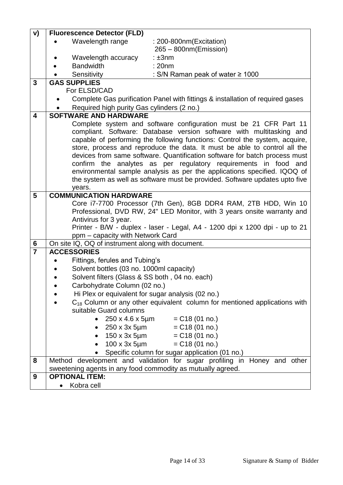| V)                      | <b>Fluorescence Detector (FLD)</b>                                                    |  |  |
|-------------------------|---------------------------------------------------------------------------------------|--|--|
|                         | Wavelength range<br>: 200-800nm(Excitation)                                           |  |  |
|                         | $265 - 800$ nm(Emission)                                                              |  |  |
|                         | Wavelength accuracy<br>$: \pm 3$ nm                                                   |  |  |
|                         | : 20nm<br><b>Bandwidth</b>                                                            |  |  |
|                         | Sensitivity<br>: S/N Raman peak of water $\geq 1000$                                  |  |  |
| $\mathbf{3}$            | <b>GAS SUPPLIES</b>                                                                   |  |  |
|                         | For ELSD/CAD                                                                          |  |  |
|                         | Complete Gas purification Panel with fittings & installation of required gases        |  |  |
|                         | Required high purity Gas cylinders (2 no.)                                            |  |  |
| $\overline{\mathbf{4}}$ | <b>SOFTWARE AND HARDWARE</b>                                                          |  |  |
|                         | Complete system and software configuration must be 21 CFR Part 11                     |  |  |
|                         | compliant. Software: Database version software with multitasking and                  |  |  |
|                         | capable of performing the following functions: Control the system, acquire,           |  |  |
|                         | store, process and reproduce the data. It must be able to control all the             |  |  |
|                         | devices from same software. Quantification software for batch process must            |  |  |
|                         | confirm the analytes as per regulatory requirements in food and                       |  |  |
|                         | environmental sample analysis as per the applications specified. IQOQ of              |  |  |
|                         | the system as well as software must be provided. Software updates upto five           |  |  |
|                         | years.                                                                                |  |  |
| $5\phantom{1}$          | <b>COMMUNICATION HARDWARE</b>                                                         |  |  |
|                         | Core i7-7700 Processor (7th Gen), 8GB DDR4 RAM, 2TB HDD, Win 10                       |  |  |
|                         | Professional, DVD RW, 24" LED Monitor, with 3 years onsite warranty and               |  |  |
|                         | Antivirus for 3 year.                                                                 |  |  |
|                         | Printer - B/W - duplex - laser - Legal, A4 - 1200 dpi x 1200 dpi - up to 21           |  |  |
|                         | ppm - capacity with Network Card                                                      |  |  |
| 6<br>$\overline{7}$     | On site IQ, OQ of instrument along with document.<br><b>ACCESSORIES</b>               |  |  |
|                         |                                                                                       |  |  |
|                         | Fittings, ferules and Tubing's                                                        |  |  |
|                         | Solvent bottles (03 no. 1000ml capacity)                                              |  |  |
|                         | Solvent filters (Glass & SS both, 04 no. each)                                        |  |  |
|                         | Carbohydrate Column (02 no.)                                                          |  |  |
|                         | Hi Plex or equivalent for sugar analysis (02 no.)                                     |  |  |
|                         | C <sub>18</sub> Column or any other equivalent column for mentioned applications with |  |  |
|                         | suitable Guard columns                                                                |  |  |
|                         | • $250 \times 4.6 \times 5 \mu m$ = C18 (01 no.)                                      |  |  |
|                         | $250 \times 3x$ 5µm = C18 (01 no.)                                                    |  |  |
|                         | $150 \times 3x$ 5µm = C18 (01 no.)                                                    |  |  |
|                         | 100 x 3x 5µm<br>$= C18 (01 no.)$                                                      |  |  |
|                         | Specific column for sugar application (01 no.)                                        |  |  |
| 8                       | Method development and validation for sugar profiling in Honey and other              |  |  |
|                         | sweetening agents in any food commodity as mutually agreed.                           |  |  |
| 9                       | <b>OPTIONAL ITEM:</b>                                                                 |  |  |
|                         | Kobra cell                                                                            |  |  |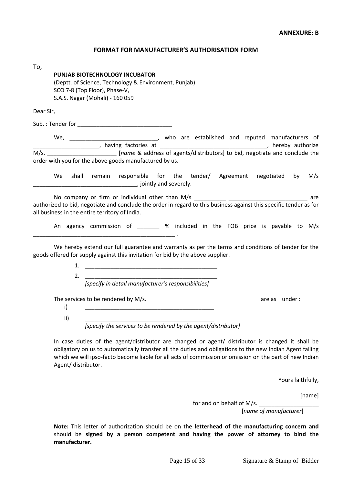#### **FORMAT FOR MANUFACTURER'S AUTHORISATION FORM**

| To,       |                                                                                                                                     |  |
|-----------|-------------------------------------------------------------------------------------------------------------------------------------|--|
|           | <b>PUNJAB BIOTECHNOLOGY INCUBATOR</b>                                                                                               |  |
|           | (Deptt. of Science, Technology & Environment, Punjab)                                                                               |  |
|           | SCO 7-8 (Top Floor), Phase-V,                                                                                                       |  |
|           | S.A.S. Nagar (Mohali) - 160 059                                                                                                     |  |
| Dear Sir, |                                                                                                                                     |  |
|           | Sub.: Tender for                                                                                                                    |  |
|           | We,<br>who are established and reputed manufacturers of                                                                             |  |
|           | hereby authorize<br>having factories at 1999 and 1999 and 1999 and 1999 and 1999 and 1999 and 1999 and 1999 and 1999 and 1999 and 1 |  |
| M/s.      | [name & address of agents/distributors] to bid, negotiate and conclude the                                                          |  |
|           | order with you for the above goods manufactured by us.                                                                              |  |

We shall remain responsible for the tender/ Agreement negotiated by M/s \_\_\_\_\_\_\_\_\_\_\_\_\_\_\_\_\_\_\_\_\_\_\_\_\_\_\_\_\_\_\_\_\_, jointly and severely.

No company or firm or individual other than M/s \_\_\_\_\_\_\_\_\_\_ \_\_\_\_\_\_\_\_\_\_\_\_\_\_\_\_\_\_\_\_\_\_\_\_\_ are authorized to bid, negotiate and conclude the order in regard to this business against this specific tender as for all business in the entire territory of India.

An agency commission of \_\_\_\_\_\_\_ % included in the FOB price is payable to M/s \_\_\_\_\_\_\_\_\_\_\_\_\_\_\_\_\_\_\_\_\_\_\_\_\_\_\_\_\_\_\_\_\_\_\_\_\_\_\_\_\_\_\_\_\_ .

We hereby extend our full guarantee and warranty as per the terms and conditions of tender for the goods offered for supply against this invitation for bid by the above supplier.

> 1. \_\_\_\_\_\_\_\_\_\_\_\_\_\_\_\_\_\_\_\_\_\_\_\_\_\_\_\_\_\_\_\_\_\_\_\_\_\_\_\_\_\_ 2. \_\_\_\_\_\_\_\_\_\_\_\_\_\_\_\_\_\_\_\_\_\_\_\_\_\_\_\_\_\_\_\_\_\_\_\_\_\_\_\_\_\_

*\*specify in detail manufacturer's responsibilities+*

The services to be rendered by M/s. \_\_\_\_\_\_\_\_\_\_\_\_\_\_\_\_\_\_\_\_\_\_ \_\_\_\_\_\_\_\_\_\_\_\_\_ are as under :

i) \_\_\_\_\_\_\_\_\_\_\_\_\_\_\_\_\_\_\_\_\_\_\_\_\_\_\_\_\_\_\_\_\_\_\_\_\_\_\_\_\_

ii) \_\_\_\_\_\_\_\_\_\_\_\_\_\_\_\_\_\_\_\_\_\_\_\_\_\_\_\_\_\_\_\_\_\_\_\_\_\_\_\_\_

*[specify the services to be rendered by the agent/distributor]*

In case duties of the agent/distributor are changed or agent/ distributor is changed it shall be obligatory on us to automatically transfer all the duties and obligations to the new Indian Agent failing which we will ipso-facto become liable for all acts of commission or omission on the part of new Indian Agent/ distributor.

Yours faithfully,

[name]

for and on behalf of M/s. [*name of manufacturer*]

**Note:** This letter of authorization should be on the **letterhead of the manufacturing concern and**  should be **signed by a person competent and having the power of attorney to bind the manufacturer.**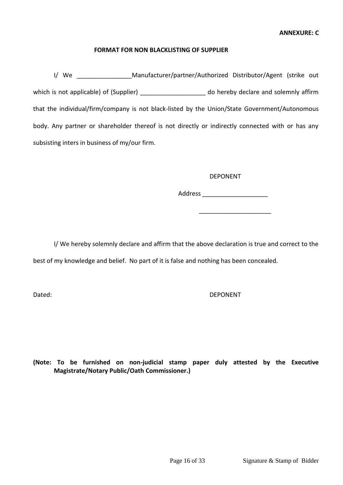#### **FORMAT FOR NON BLACKLISTING OF SUPPLIER**

I/ We Manufacturer/partner/Authorized Distributor/Agent (strike out which is not applicable) of (Supplier) and solemnly affirm  $\alpha$  do hereby declare and solemnly affirm that the individual/firm/company is not black-listed by the Union/State Government/Autonomous body. Any partner or shareholder thereof is not directly or indirectly connected with or has any subsisting inters in business of my/our firm.

#### DEPONENT

Address \_\_\_\_\_\_\_\_\_\_\_\_\_\_\_\_\_\_\_

\_\_\_\_\_\_\_\_\_\_\_\_\_\_\_\_\_\_\_\_\_

I/ We hereby solemnly declare and affirm that the above declaration is true and correct to the best of my knowledge and belief. No part of it is false and nothing has been concealed.

#### Dated: Depreciation of the contract of the contract of the contract of the DEPONENT

**(Note: To be furnished on non-judicial stamp paper duly attested by the Executive Magistrate/Notary Public/Oath Commissioner.)**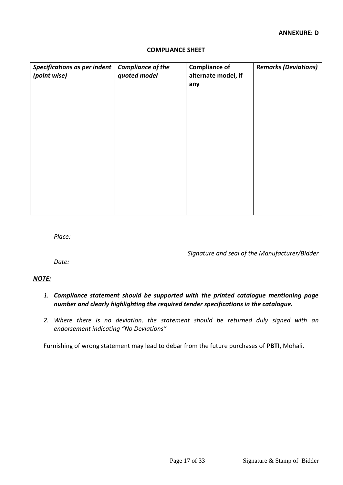| <b>Specifications as per indent</b><br>(point wise) | <b>Compliance of the</b><br>quoted model | <b>Compliance of</b><br>alternate model, if<br>any | <b>Remarks (Deviations)</b> |
|-----------------------------------------------------|------------------------------------------|----------------------------------------------------|-----------------------------|
|                                                     |                                          |                                                    |                             |
|                                                     |                                          |                                                    |                             |

#### **COMPLIANCE SHEET**

*Place:*

*Signature and seal of the Manufacturer/Bidder*

*Date:*

#### *NOTE:*

- *1. Compliance statement should be supported with the printed catalogue mentioning page number and clearly highlighting the required tender specifications in the catalogue.*
- *2. Where there is no deviation, the statement should be returned duly signed with an endorsement indicating "No Deviations"*

Furnishing of wrong statement may lead to debar from the future purchases of **PBTI,** Mohali.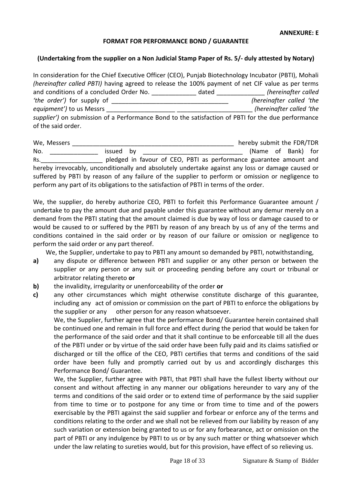#### **FORMAT FOR PERFORMANCE BOND / GUARANTEE**

#### **(Undertaking from the supplier on a Non Judicial Stamp Paper of Rs. 5/- duly attested by Notary)**

In consideration for the Chief Executive Officer (CEO), Punjab Biotechnology Incubator (PBTI), Mohali *(hereinafter called PBTI)* having agreed to release the 100% payment of net CIF value as per terms and conditions of a concluded Order No. <br>
and conditions of a concluded Order No. *dated (hereinafter called i 'the order')* for supply of \_\_\_\_\_\_\_\_\_\_\_\_\_\_\_\_\_\_\_\_\_\_\_\_\_\_\_\_\_\_\_\_\_\_ *(hereinafter called 'the equipment'*) to us Messrs **Example 3** *supplier')* on submission of a Performance Bond to the satisfaction of PBTI for the due performance of the said order.

| We, Messers |           | hereby submit the FDR/TDR                                                                         |
|-------------|-----------|---------------------------------------------------------------------------------------------------|
| No.         | issued by | (Name of Bank) for                                                                                |
| Rs.         |           | pledged in favour of CEO, PBTI as performance guarantee amount and                                |
|             |           | hereby irrevocably, unconditionally and absolutely undertake against any loss or damage caused or |
|             |           | suffered by PBTI by reason of any failure of the supplier to perform or omission or negligence to |
|             |           | perform any part of its obligations to the satisfaction of PBTI in terms of the order.            |

We, the supplier, do hereby authorize CEO, PBTI to forfeit this Performance Guarantee amount / undertake to pay the amount due and payable under this guarantee without any demur merely on a demand from the PBTI stating that the amount claimed is due by way of loss or damage caused to or would be caused to or suffered by the PBTI by reason of any breach by us of any of the terms and conditions contained in the said order or by reason of our failure or omission or negligence to perform the said order or any part thereof.

We, the Supplier, undertake to pay to PBTI any amount so demanded by PBTI, notwithstanding,

- **a)** any dispute or difference between PBTI and supplier or any other person or between the supplier or any person or any suit or proceeding pending before any court or tribunal or arbitrator relating thereto **or**
- **b)** the invalidity, irregularity or unenforceability of the order **or**
- **c)** any other circumstances which might otherwise constitute discharge of this guarantee, including any act of omission or commission on the part of PBTI to enforce the obligations by the supplier or any other person for any reason whatsoever.

 We, the Supplier, further agree that the performance Bond/ Guarantee herein contained shall be continued one and remain in full force and effect during the period that would be taken for the performance of the said order and that it shall continue to be enforceable till all the dues of the PBTI under or by virtue of the said order have been fully paid and its claims satisfied or discharged or till the office of the CEO, PBTI certifies that terms and conditions of the said order have been fully and promptly carried out by us and accordingly discharges this Performance Bond/ Guarantee.

We, the Supplier, further agree with PBTI, that PBTI shall have the fullest liberty without our consent and without affecting in any manner our obligations hereunder to vary any of the terms and conditions of the said order or to extend time of performance by the said supplier from time to time or to postpone for any time or from time to time and of the powers exercisable by the PBTI against the said supplier and forbear or enforce any of the terms and conditions relating to the order and we shall not be relieved from our liability by reason of any such variation or extension being granted to us or for any forbearance, act or omission on the part of PBTI or any indulgence by PBTI to us or by any such matter or thing whatsoever which under the law relating to sureties would, but for this provision, have effect of so relieving us.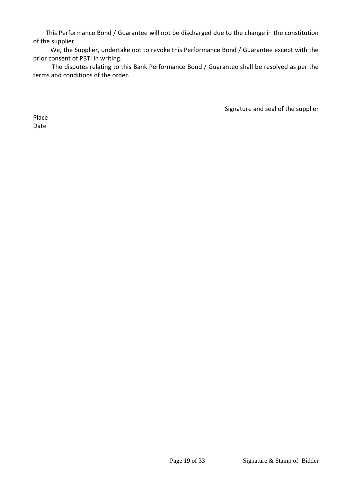This Performance Bond / Guarantee will not be discharged due to the change in the constitution of the supplier.

 We, the Supplier, undertake not to revoke this Performance Bond / Guarantee except with the prior consent of PBTI in writing.

 The disputes relating to this Bank Performance Bond / Guarantee shall be resolved as per the terms and conditions of the order.

Signature and seal of the supplier

Place Date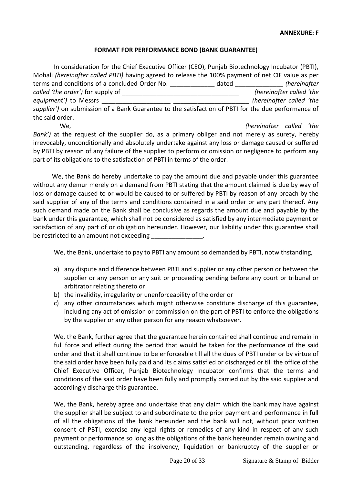#### **FORMAT FOR PERFORMANCE BOND (BANK GUARANTEE)**

| In consideration for the Chief Executive Officer (CEO), Punjab Biotechnology Incubator (PBTI),                                                                                                                                                                                  |          |                                                                                                                                |              |  |
|---------------------------------------------------------------------------------------------------------------------------------------------------------------------------------------------------------------------------------------------------------------------------------|----------|--------------------------------------------------------------------------------------------------------------------------------|--------------|--|
| Mohali (hereinafter called PBTI) having agreed to release the 100% payment of net CIF value as per                                                                                                                                                                              |          |                                                                                                                                |              |  |
| terms and conditions of a concluded Order No. The contract of dated                                                                                                                                                                                                             |          |                                                                                                                                | (hereinafter |  |
|                                                                                                                                                                                                                                                                                 |          | (hereinafter called 'the                                                                                                       |              |  |
| equipment') to Messrs                                                                                                                                                                                                                                                           |          | (hereinafter called 'the                                                                                                       |              |  |
| supplier') on submission of a Bank Guarantee to the satisfaction of PBTI for the due performance of                                                                                                                                                                             |          |                                                                                                                                |              |  |
| the said order.                                                                                                                                                                                                                                                                 |          |                                                                                                                                |              |  |
| We.                                                                                                                                                                                                                                                                             |          | (hereinafter called 'the                                                                                                       |              |  |
| $\mathbf{r}$ . The set of $\mathbf{r}$<br>$\mathbf{r}$ and $\mathbf{r}$ are all the contract of the contract of the contract of the contract of the contract of the contract of the contract of the contract of the contract of the contract of the contract of the contract of | $\cdots$ | $\mathbf{r}$ , and $\mathbf{r}$ , and $\mathbf{r}$ , and $\mathbf{r}$ , and $\mathbf{r}$ , and $\mathbf{r}$ , and $\mathbf{r}$ |              |  |

*Bank')* at the request of the supplier do, as a primary obliger and not merely as surety, hereby irrevocably, unconditionally and absolutely undertake against any loss or damage caused or suffered by PBTI by reason of any failure of the supplier to perform or omission or negligence to perform any part of its obligations to the satisfaction of PBTI in terms of the order.

 We, the Bank do hereby undertake to pay the amount due and payable under this guarantee without any demur merely on a demand from PBTI stating that the amount claimed is due by way of loss or damage caused to or would be caused to or suffered by PBTI by reason of any breach by the said supplier of any of the terms and conditions contained in a said order or any part thereof. Any such demand made on the Bank shall be conclusive as regards the amount due and payable by the bank under this guarantee, which shall not be considered as satisfied by any intermediate payment or satisfaction of any part of or obligation hereunder. However, our liability under this guarantee shall be restricted to an amount not exceeding

We, the Bank, undertake to pay to PBTI any amount so demanded by PBTI, notwithstanding,

- a) any dispute and difference between PBTI and supplier or any other person or between the supplier or any person or any suit or proceeding pending before any court or tribunal or arbitrator relating thereto or
- b) the invalidity, irregularity or unenforceability of the order or
- c) any other circumstances which might otherwise constitute discharge of this guarantee, including any act of omission or commission on the part of PBTI to enforce the obligations by the supplier or any other person for any reason whatsoever.

We, the Bank, further agree that the guarantee herein contained shall continue and remain in full force and effect during the period that would be taken for the performance of the said order and that it shall continue to be enforceable till all the dues of PBTI under or by virtue of the said order have been fully paid and its claims satisfied or discharged or till the office of the Chief Executive Officer, Punjab Biotechnology Incubator confirms that the terms and conditions of the said order have been fully and promptly carried out by the said supplier and accordingly discharge this guarantee.

We, the Bank, hereby agree and undertake that any claim which the bank may have against the supplier shall be subject to and subordinate to the prior payment and performance in full of all the obligations of the bank hereunder and the bank will not, without prior written consent of PBTI, exercise any legal rights or remedies of any kind in respect of any such payment or performance so long as the obligations of the bank hereunder remain owning and outstanding, regardless of the insolvency, liquidation or bankruptcy of the supplier or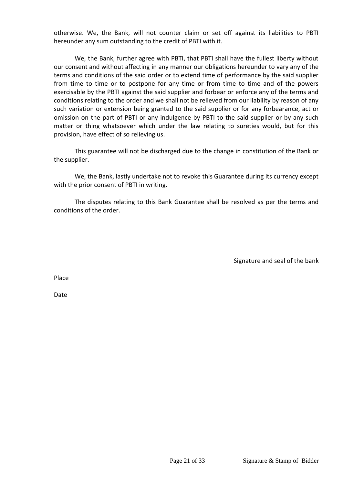otherwise. We, the Bank, will not counter claim or set off against its liabilities to PBTI hereunder any sum outstanding to the credit of PBTI with it.

We, the Bank, further agree with PBTI, that PBTI shall have the fullest liberty without our consent and without affecting in any manner our obligations hereunder to vary any of the terms and conditions of the said order or to extend time of performance by the said supplier from time to time or to postpone for any time or from time to time and of the powers exercisable by the PBTI against the said supplier and forbear or enforce any of the terms and conditions relating to the order and we shall not be relieved from our liability by reason of any such variation or extension being granted to the said supplier or for any forbearance, act or omission on the part of PBTI or any indulgence by PBTI to the said supplier or by any such matter or thing whatsoever which under the law relating to sureties would, but for this provision, have effect of so relieving us.

This guarantee will not be discharged due to the change in constitution of the Bank or the supplier.

We, the Bank, lastly undertake not to revoke this Guarantee during its currency except with the prior consent of PBTI in writing.

The disputes relating to this Bank Guarantee shall be resolved as per the terms and conditions of the order.

Signature and seal of the bank

Place

Date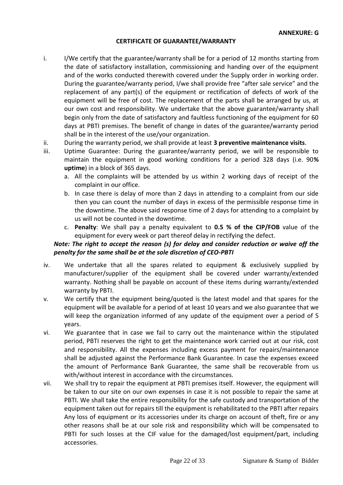## **CERTIFICATE OF GUARANTEE/WARRANTY**

- i. I/We certify that the guarantee/warranty shall be for a period of 12 months starting from the date of satisfactory installation, commissioning and handing over of the equipment and of the works conducted therewith covered under the Supply order in working order. During the guarantee/warranty period, I/we shall provide free "after sale service" and the replacement of any part(s) of the equipment or rectification of defects of work of the equipment will be free of cost. The replacement of the parts shall be arranged by us, at our own cost and responsibility. We undertake that the above guarantee/warranty shall begin only from the date of satisfactory and faultless functioning of the equipment for 60 days at PBTI premises. The benefit of change in dates of the guarantee/warranty period shall be in the interest of the use/your organization.
- ii. During the warranty period, we shall provide at least **3 preventive maintenance visits**.
- iii. Uptime Guarantee: During the guarantee/warranty period, we will be responsible to maintain the equipment in good working conditions for a period 328 days (i.e. 90**% uptime**) in a block of 365 days.
	- a. All the complaints will be attended by us within 2 working days of receipt of the complaint in our office.
	- b. In case there is delay of more than 2 days in attending to a complaint from our side then you can count the number of days in excess of the permissible response time in the downtime. The above said response time of 2 days for attending to a complaint by us will not be counted in the downtime.
	- c. **Penalty**: We shall pay a penalty equivalent to **0.5 % of the CIP/FOB** value of the equipment for every week or part thereof delay in rectifying the defect.

# *Note: The right to accept the reason (s) for delay and consider reduction or waive off the penalty for the same shall be at the sole discretion of CEO-PBTI*

- iv. We undertake that all the spares related to equipment & exclusively supplied by manufacturer/supplier of the equipment shall be covered under warranty/extended warranty. Nothing shall be payable on account of these items during warranty/extended warranty by PBTI.
- v. We certify that the equipment being/quoted is the latest model and that spares for the equipment will be available for a period of at least 10 years and we also guarantee that we will keep the organization informed of any update of the equipment over a period of 5 years.
- vi. We guarantee that in case we fail to carry out the maintenance within the stipulated period, PBTI reserves the right to get the maintenance work carried out at our risk, cost and responsibility. All the expenses including excess payment for repairs/maintenance shall be adjusted against the Performance Bank Guarantee. In case the expenses exceed the amount of Performance Bank Guarantee, the same shall be recoverable from us with/without interest in accordance with the circumstances.
- vii. We shall try to repair the equipment at PBTI premises itself. However, the equipment will be taken to our site on our own expenses in case it is not possible to repair the same at PBTI. We shall take the entire responsibility for the safe custody and transportation of the equipment taken out for repairs till the equipment is rehabilitated to the PBTI after repairs Any loss of equipment or its accessories under its charge on account of theft, fire or any other reasons shall be at our sole risk and responsibility which will be compensated to PBTI for such losses at the CIF value for the damaged/lost equipment/part, including accessories.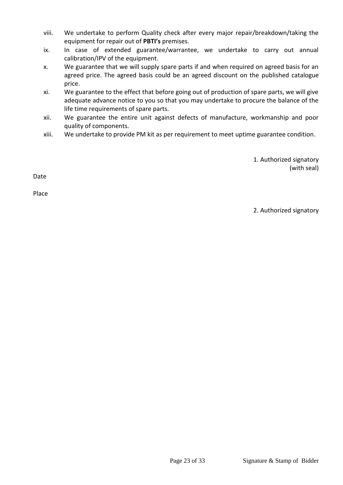- viii. We undertake to perform Quality check after every major repair/breakdown/taking the equipment for repair out of **PBTI's** premises.
- ix. In case of extended guarantee/warrantee, we undertake to carry out annual calibration/IPV of the equipment.
- x. We guarantee that we will supply spare parts if and when required on agreed basis for an agreed price. The agreed basis could be an agreed discount on the published catalogue price.
- xi. We guarantee to the effect that before going out of production of spare parts, we will give adequate advance notice to you so that you may undertake to procure the balance of the life time requirements of spare parts.
- xii. We guarantee the entire unit against defects of manufacture, workmanship and poor quality of components.
- xiii. We undertake to provide PM kit as per requirement to meet uptime guarantee condition.

 1. Authorized signatory (with seal)

Date

Place

2. Authorized signatory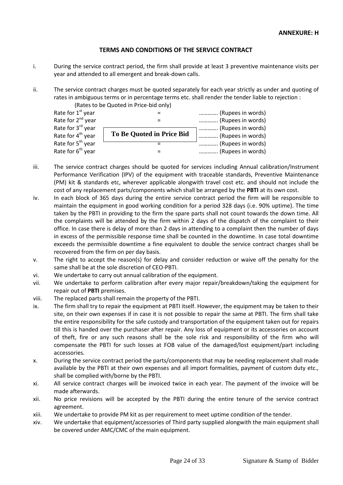#### **TERMS AND CONDITIONS OF THE SERVICE CONTRACT**

- i. During the service contract period, the firm shall provide at least 3 preventive maintenance visits per year and attended to all emergent and break-down calls.
- ii. The service contract charges must be quoted separately for each year strictly as under and quoting of rates in ambiguous terms or in percentage terms etc. shall render the tender liable to rejection :

(Rates to be Quoted in Price-bid only)

|                                  | (Rupees in words)                      |
|----------------------------------|----------------------------------------|
|                                  | (Rupees in words)                      |
| <b>To Be Quoted in Price Bid</b> | (Rupees in words)<br>(Rupees in words) |
|                                  | (Rupees in words)                      |
|                                  | (Rupees in words)                      |
|                                  |                                        |

- iii. The service contract charges should be quoted for services including Annual calibration/Instrument Performance Verification (IPV) of the equipment with traceable standards, Preventive Maintenance (PM) kit & standards etc, wherever applicable alongwith travel cost etc. and should not include the cost of any replacement parts/components which shall be arranged by the **PBTI** at its own cost.
- iv. In each block of 365 days during the entire service contract period the firm will be responsible to maintain the equipment in good working condition for a period 328 days (i.e. 90% uptime). The time taken by the PBTI in providing to the firm the spare parts shall not count towards the down time. All the complaints will be attended by the firm within 2 days of the dispatch of the complaint to their office. In case there is delay of more than 2 days in attending to a complaint then the number of days in excess of the permissible response time shall be counted in the downtime. In case total downtime exceeds the permissible downtime a fine equivalent to double the service contract charges shall be recovered from the firm on per day basis.
- v. The right to accept the reason(s) for delay and consider reduction or waive off the penalty for the same shall be at the sole discretion of CEO-PBTI.
- vi. We undertake to carry out annual calibration of the equipment.
- vii. We undertake to perform calibration after every major repair/breakdown/taking the equipment for repair out of **PBTI** premises.
- viii. The replaced parts shall remain the property of the PBTI.
- ix. The firm shall try to repair the equipment at PBTI itself. However, the equipment may be taken to their site, on their own expenses if in case it is not possible to repair the same at PBTI. The firm shall take the entire responsibility for the safe custody and transportation of the equipment taken out for repairs till this is handed over the purchaser after repair. Any loss of equipment or its accessories on account of theft, fire or any such reasons shall be the sole risk and responsibility of the firm who will compensate the PBTI for such losses at FOB value of the damaged/lost equipment/part including accessories.
- x. During the service contract period the parts/components that may be needing replacement shall made available by the PBTI at their own expenses and all import formalities, payment of custom duty etc., shall be complied with/borne by the PBTI.
- xi. All service contract charges will be invoiced twice in each year. The payment of the invoice will be made afterwards.
- xii. No price revisions will be accepted by the PBTI during the entire tenure of the service contract agreement.
- xiii. We undertake to provide PM kit as per requirement to meet uptime condition of the tender.
- xiv. We undertake that equipment/accessories of Third party supplied alongwith the main equipment shall be covered under AMC/CMC of the main equipment.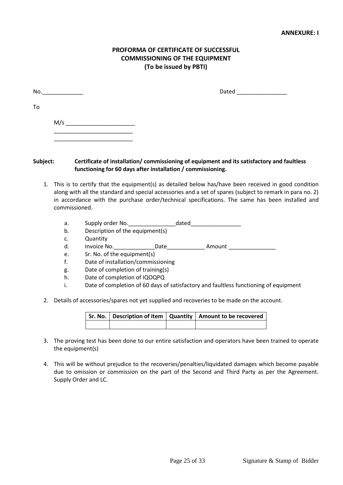#### **ANNEXURE: I**

## **PROFORMA OF CERTIFICATE OF SUCCESSFUL COMMISSIONING OF THE EQUIPMENT (To be issued by PBTI)**

| No. |                                            | Dated |
|-----|--------------------------------------------|-------|
| To  |                                            |       |
|     | M/s<br>the contract of the contract of the |       |
|     |                                            |       |

#### **Subject: Certificate of installation/ commissioning of equipment and its satisfactory and faultless functioning for 60 days after installation / commissioning.**

- 1. This is to certify that the equipment(s) as detailed below has/have been received in good condition along with all the standard and special accessories and a set of spares (subject to remark in para no. 2) in accordance with the purchase order/technical specifications. The same has been installed and commissioned.
	- a. Supply order No.\_\_\_\_\_\_\_\_\_\_\_\_\_\_\_dated\_\_\_\_\_\_\_\_\_\_\_\_\_\_\_\_
	- b. Description of the equipment(s)
	- c. Quantity
	- d. Invoice No.\_\_\_\_\_\_\_\_\_\_\_\_\_Date\_\_\_\_\_\_\_\_\_\_\_\_ Amount \_\_\_\_\_\_\_\_\_\_\_\_\_\_\_
	- e. Sr. No. of the equipment(s)
	- f. Date of installation/commissioning
	- g. Date of completion of training(s)
	- h. Date of completion of IQOQPQ
	- i. Date of completion of 60 days of satisfactory and faultless functioning of equipment
- 2. Details of accessories/spares not yet supplied and recoveries to be made on the account.

|  | Sr. No.   Description of item   Quantity   Amount to be recovered |  |
|--|-------------------------------------------------------------------|--|
|  |                                                                   |  |

- 3. The proving test has been done to our entire satisfaction and operators have been trained to operate the equipment(s)
- 4. This will be without prejudice to the recoveries/penalties/liquidated damages which become payable due to omission or commission on the part of the Second and Third Party as per the Agreement. Supply Order and LC.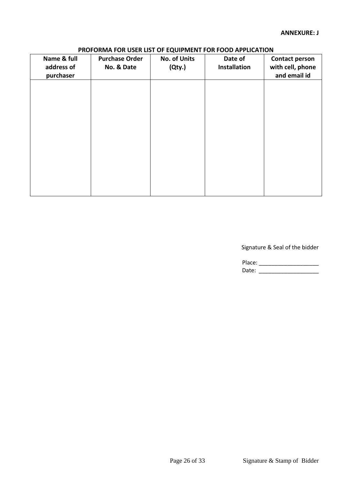# **PROFORMA FOR USER LIST OF EQUIPMENT FOR FOOD APPLICATION**

| Name & full<br>address of<br>purchaser | <b>Purchase Order</b><br>No. & Date | <b>No. of Units</b><br>(Qty.) | Date of<br><b>Installation</b> | <b>Contact person</b><br>with cell, phone<br>and email id |
|----------------------------------------|-------------------------------------|-------------------------------|--------------------------------|-----------------------------------------------------------|
|                                        |                                     |                               |                                |                                                           |
|                                        |                                     |                               |                                |                                                           |
|                                        |                                     |                               |                                |                                                           |
|                                        |                                     |                               |                                |                                                           |
|                                        |                                     |                               |                                |                                                           |

Signature & Seal of the bidder

Place: \_\_\_\_\_\_\_\_\_\_\_\_\_\_\_\_\_\_\_ Date: \_\_\_\_\_\_\_\_\_\_\_\_\_\_\_\_\_\_\_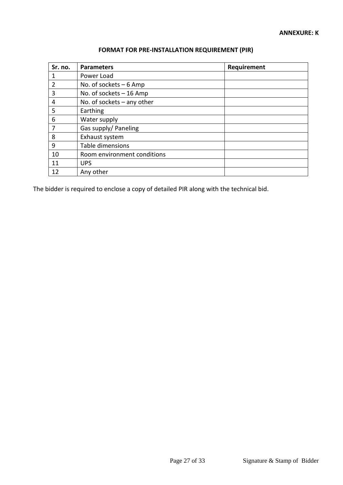| Sr. no.        | <b>Parameters</b>            | Requirement |
|----------------|------------------------------|-------------|
|                | Power Load                   |             |
| $\overline{2}$ | No. of sockets $-6$ Amp      |             |
| 3              | No. of sockets $-16$ Amp     |             |
| 4              | No. of sockets $-$ any other |             |
| 5              | Earthing                     |             |
| 6              | Water supply                 |             |
| 7              | Gas supply/ Paneling         |             |
| 8              | Exhaust system               |             |
| 9              | Table dimensions             |             |
| 10             | Room environment conditions  |             |
| 11             | <b>UPS</b>                   |             |
| 12             | Any other                    |             |

# **FORMAT FOR PRE-INSTALLATION REQUIREMENT (PIR)**

The bidder is required to enclose a copy of detailed PIR along with the technical bid.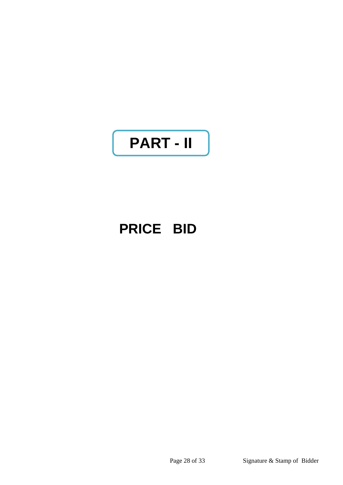# **PART - II**

# **PRICE BID**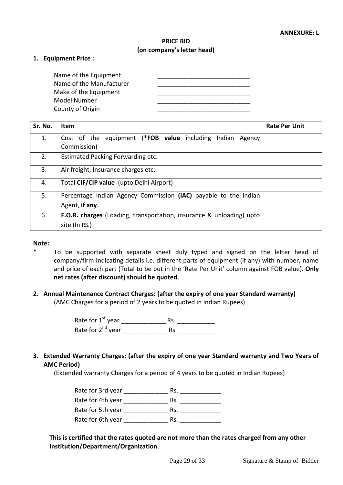## **PRICE BID (on company's letter head)**

#### **1. Equipment Price :**

| Name of the Equipment    |  |
|--------------------------|--|
| Name of the Manufacturer |  |
| Make of the Equipment    |  |
| Model Number             |  |
| County of Origin         |  |

| Sr. No. | <b>Item</b>                                                                       | <b>Rate Per Unit</b> |
|---------|-----------------------------------------------------------------------------------|----------------------|
| 1.      | Cost of the equipment (*FOB value including Indian Agency<br>Commission)          |                      |
| 2.      | Estimated Packing Forwarding etc.                                                 |                      |
| 3.      | Air freight, Insurance charges etc.                                               |                      |
| 4.      | Total CIF/CIP value (upto Delhi Airport)                                          |                      |
| 5.      | Percentage Indian Agency Commission (IAC) payable to the Indian<br>Agent, if any. |                      |
| 6.      | <b>F.O.R. charges</b> (Loading, transportation, insurance & unloading) upto       |                      |
|         | site (In RS.)                                                                     |                      |

#### **Note:**

- \* To be supported with separate sheet duly typed and signed on the letter head of company/firm indicating details i.e. different parts of equipment (if any) with number, name and price of each part (Total to be put in the 'Rate Per Unit' column against FOB value). **Only net rates (after discount) should be quoted**.
- **2. Annual Maintenance Contract Charges: (after the expiry of one year Standard warranty)**

(AMC Charges for a period of 2 years to be quoted in Indian Rupees)

Rate for 1st year \_\_\_\_\_\_\_\_\_\_\_\_\_ Rs. \_\_\_\_\_\_\_\_\_\_\_ Rate for  $2^{nd}$  year  $\qquad \qquad$  Rs.

**3. Extended Warranty Charges: (after the expiry of one year Standard warranty and Two Years of AMC Period)**

(Extended warranty Charges for a period of 4 years to be quoted in Indian Rupees)

Rate for 3rd year \_\_\_\_\_\_\_\_\_\_\_\_\_ Rs. \_\_\_\_\_\_\_\_\_\_\_\_ Rate for 4th year \_\_\_\_\_\_\_\_\_\_\_\_\_ Rs. \_\_\_\_\_\_\_\_\_\_\_\_ Rate for 5th year \_\_\_\_\_\_\_\_\_\_\_\_\_ Rs. \_\_\_\_\_\_\_\_\_\_\_\_ Rate for 6th year The Rs.

# **This is certified that the rates quoted are not more than the rates charged from any other Institution/Department/Organization**.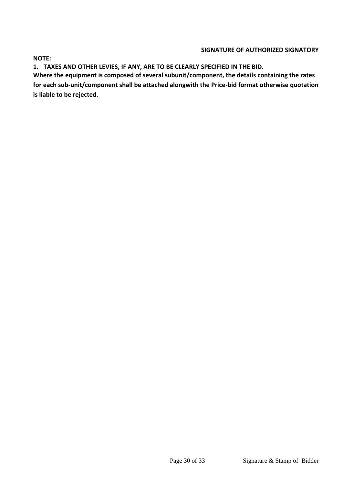#### **SIGNATURE OF AUTHORIZED SIGNATORY**

**NOTE:** 

**1. TAXES AND OTHER LEVIES, IF ANY, ARE TO BE CLEARLY SPECIFIED IN THE BID.**

**Where the equipment is composed of several subunit/component, the details containing the rates for each sub-unit/component shall be attached alongwith the Price-bid format otherwise quotation is liable to be rejected.**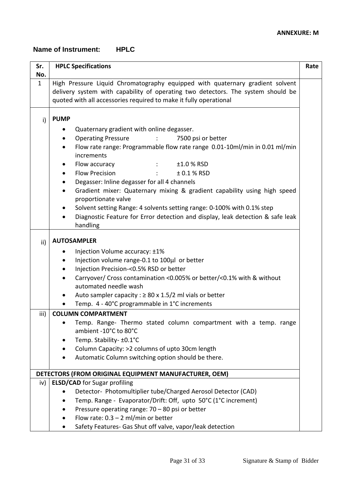# **Name of Instrument: HPLC**

| Sr.                   | <b>HPLC Specifications</b>                                                                                                                                                                                                                                                                                                                                                                                         | Rate |
|-----------------------|--------------------------------------------------------------------------------------------------------------------------------------------------------------------------------------------------------------------------------------------------------------------------------------------------------------------------------------------------------------------------------------------------------------------|------|
| No.                   |                                                                                                                                                                                                                                                                                                                                                                                                                    |      |
| $\mathbf{1}$          | High Pressure Liquid Chromatography equipped with quaternary gradient solvent<br>delivery system with capability of operating two detectors. The system should be<br>quoted with all accessories required to make it fully operational                                                                                                                                                                             |      |
| i)                    | <b>PUMP</b>                                                                                                                                                                                                                                                                                                                                                                                                        |      |
|                       | Quaternary gradient with online degasser.                                                                                                                                                                                                                                                                                                                                                                          |      |
|                       | <b>Operating Pressure</b><br>7500 psi or better<br>$\mathcal{L} = \mathcal{L}$                                                                                                                                                                                                                                                                                                                                     |      |
|                       | Flow rate range: Programmable flow rate range 0.01-10ml/min in 0.01 ml/min<br>$\bullet$<br>increments                                                                                                                                                                                                                                                                                                              |      |
|                       | Flow accuracy<br>$±1.0$ % RSD<br>$1 - 1 - 1 = 1$                                                                                                                                                                                                                                                                                                                                                                   |      |
|                       | <b>Flow Precision</b><br>$± 0.1 %$ RSD                                                                                                                                                                                                                                                                                                                                                                             |      |
|                       | Degasser: Inline degasser for all 4 channels                                                                                                                                                                                                                                                                                                                                                                       |      |
|                       | Gradient mixer: Quaternary mixing & gradient capability using high speed<br>$\bullet$                                                                                                                                                                                                                                                                                                                              |      |
|                       | proportionate valve                                                                                                                                                                                                                                                                                                                                                                                                |      |
|                       | Solvent setting Range: 4 solvents setting range: 0-100% with 0.1% step                                                                                                                                                                                                                                                                                                                                             |      |
|                       | Diagnostic Feature for Error detection and display, leak detection & safe leak<br>handling                                                                                                                                                                                                                                                                                                                         |      |
| $\mathsf{ii}$<br>iii) | <b>AUTOSAMPLER</b><br>Injection Volume accuracy: ±1%<br>٠<br>Injection volume range-0.1 to 100µl or better<br>Injection Precision-<0.5% RSD or better<br>$\bullet$<br>Carryover/ Cross contamination <0.005% or better/<0.1% with & without<br>automated needle wash<br>Auto sampler capacity : $\geq 80$ x 1.5/2 ml vials or better<br>Temp. 4 - 40°C programmable in 1°C increments<br><b>COLUMN COMPARTMENT</b> |      |
|                       | Temp. Range- Thermo stated column compartment with a temp. range<br>ambient -10°C to 80°C<br>Temp. Stability- ±0.1°C                                                                                                                                                                                                                                                                                               |      |
|                       | Column Capacity: >2 columns of upto 30cm length                                                                                                                                                                                                                                                                                                                                                                    |      |
|                       | Automatic Column switching option should be there.                                                                                                                                                                                                                                                                                                                                                                 |      |
|                       |                                                                                                                                                                                                                                                                                                                                                                                                                    |      |
|                       | DETECTORS (FROM ORIGINAL EQUIPMENT MANUFACTURER, OEM)                                                                                                                                                                                                                                                                                                                                                              |      |
| iv)                   | <b>ELSD/CAD</b> for Sugar profiling                                                                                                                                                                                                                                                                                                                                                                                |      |
|                       | Detector- Photomultiplier tube/Charged Aerosol Detector (CAD)                                                                                                                                                                                                                                                                                                                                                      |      |
|                       | Temp. Range - Evaporator/Drift: Off, upto 50°C (1°C increment)                                                                                                                                                                                                                                                                                                                                                     |      |
|                       | Pressure operating range: 70 - 80 psi or better                                                                                                                                                                                                                                                                                                                                                                    |      |
|                       | Flow rate: $0.3 - 2$ ml/min or better                                                                                                                                                                                                                                                                                                                                                                              |      |
|                       | Safety Features- Gas Shut off valve, vapor/leak detection                                                                                                                                                                                                                                                                                                                                                          |      |